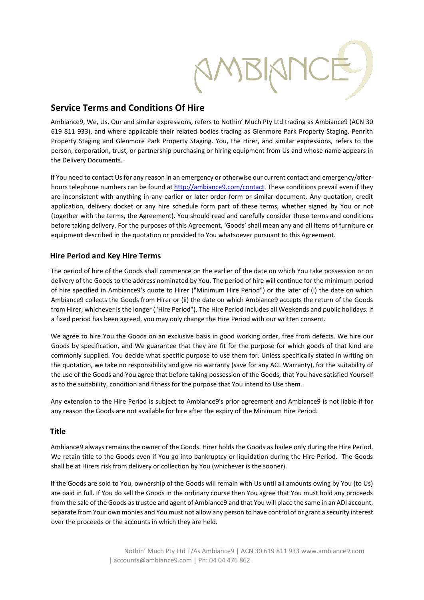# **Service Terms and Conditions Of Hire**

Ambiance9, We, Us, Our and similar expressions, refers to Nothin' Much Pty Ltd trading as Ambiance9 (ACN 30 619 811 933), and where applicable their related bodies trading as Glenmore Park Property Staging, Penrith Property Staging and Glenmore Park Property Staging. You, the Hirer, and similar expressions, refers to the person, corporation, trust, or partnership purchasing or hiring equipment from Us and whose name appears in the Delivery Documents.

If You need to contact Us for any reason in an emergency or otherwise our current contact and emergency/afterhours telephone numbers can be found [at http://ambiance9.com/contact.](http://ambiance9.com/contact) [Th](http://ambiance9.com/contact)ese conditions prevail even if they are inconsistent with anything in any earlier or later order form or similar document. Any quotation, credit application, delivery docket or any hire schedule form part of these terms, whether signed by You or not (together with the terms, the Agreement). You should read and carefully consider these terms and conditions before taking delivery. For the purposes of this Agreement, 'Goods' shall mean any and all items of furniture or equipment described in the quotation or provided to You whatsoever pursuant to this Agreement.

## **Hire Period and Key Hire Terms**

The period of hire of the Goods shall commence on the earlier of the date on which You take possession or on delivery of the Goods to the address nominated by You. The period of hire will continue for the minimum period of hire specified in Ambiance9's quote to Hirer ("Minimum Hire Period") or the later of (i) the date on which Ambiance9 collects the Goods from Hirer or (ii) the date on which Ambiance9 accepts the return of the Goods from Hirer, whichever is the longer ("Hire Period"). The Hire Period includes all Weekends and public holidays. If a fixed period has been agreed, you may only change the Hire Period with our written consent.

We agree to hire You the Goods on an exclusive basis in good working order, free from defects. We hire our Goods by specification, and We guarantee that they are fit for the purpose for which goods of that kind are commonly supplied. You decide what specific purpose to use them for. Unless specifically stated in writing on the quotation, we take no responsibility and give no warranty (save for any ACL Warranty), for the suitability of the use of the Goods and You agree that before taking possession of the Goods, that You have satisfied Yourself as to the suitability, condition and fitness for the purpose that You intend to Use them.

Any extension to the Hire Period is subject to Ambiance9's prior agreement and Ambiance9 is not liable if for any reason the Goods are not available for hire after the expiry of the Minimum Hire Period.

## **Title**

Ambiance9 always remains the owner of the Goods. Hirer holds the Goods as bailee only during the Hire Period. We retain title to the Goods even if You go into bankruptcy or liquidation during the Hire Period. The Goods shall be at Hirers risk from delivery or collection by You (whichever is the sooner).

If the Goods are sold to You, ownership of the Goods will remain with Us until all amounts owing by You (to Us) are paid in full. If You do sell the Goods in the ordinary course then You agree that You must hold any proceeds from the sale of the Goods as trustee and agent of Ambiance9 and that You will place the same in an ADI account, separate from Your own monies and You must not allow any person to have control of or grant a security interest over the proceeds or the accounts in which they are held.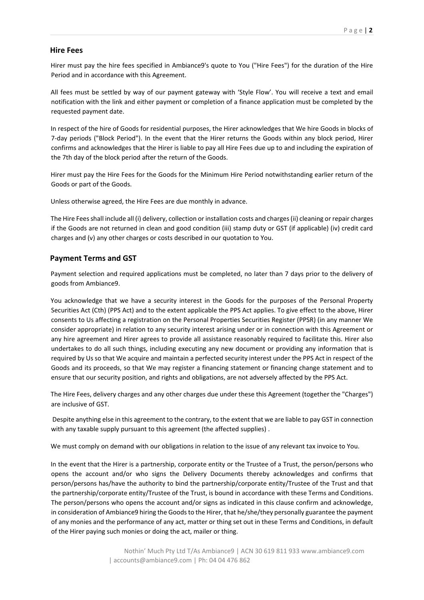#### **Hire Fees**

Hirer must pay the hire fees specified in Ambiance9's quote to You ("Hire Fees") for the duration of the Hire Period and in accordance with this Agreement.

All fees must be settled by way of our payment gateway with 'Style Flow'. You will receive a text and email notification with the link and either payment or completion of a finance application must be completed by the requested payment date.

In respect of the hire of Goods for residential purposes, the Hirer acknowledges that We hire Goods in blocks of 7-day periods ("Block Period"). In the event that the Hirer returns the Goods within any block period, Hirer confirms and acknowledges that the Hirer is liable to pay all Hire Fees due up to and including the expiration of the 7th day of the block period after the return of the Goods.

Hirer must pay the Hire Fees for the Goods for the Minimum Hire Period notwithstanding earlier return of the Goods or part of the Goods.

Unless otherwise agreed, the Hire Fees are due monthly in advance.

The Hire Fees shall include all (i) delivery, collection or installation costs and charges (ii) cleaning or repair charges if the Goods are not returned in clean and good condition (iii) stamp duty or GST (if applicable) (iv) credit card charges and (v) any other charges or costs described in our quotation to You.

### **Payment Terms and GST**

Payment selection and required applications must be completed, no later than 7 days prior to the delivery of goods from Ambiance9.

You acknowledge that we have a security interest in the Goods for the purposes of the Personal Property Securities Act (Cth) (PPS Act) and to the extent applicable the PPS Act applies. To give effect to the above, Hirer consents to Us affecting a registration on the Personal Properties Securities Register (PPSR) (in any manner We consider appropriate) in relation to any security interest arising under or in connection with this Agreement or any hire agreement and Hirer agrees to provide all assistance reasonably required to facilitate this. Hirer also undertakes to do all such things, including executing any new document or providing any information that is required by Us so that We acquire and maintain a perfected security interest under the PPS Act in respect of the Goods and its proceeds, so that We may register a financing statement or financing change statement and to ensure that our security position, and rights and obligations, are not adversely affected by the PPS Act.

The Hire Fees, delivery charges and any other charges due under these this Agreement (together the "Charges") are inclusive of GST.

Despite anything else in this agreement to the contrary, to the extent that we are liable to pay GST in connection with any taxable supply pursuant to this agreement (the affected supplies) .

We must comply on demand with our obligations in relation to the issue of any relevant tax invoice to You.

In the event that the Hirer is a partnership, corporate entity or the Trustee of a Trust, the person/persons who opens the account and/or who signs the Delivery Documents thereby acknowledges and confirms that person/persons has/have the authority to bind the partnership/corporate entity/Trustee of the Trust and that the partnership/corporate entity/Trustee of the Trust, is bound in accordance with these Terms and Conditions. The person/persons who opens the account and/or signs as indicated in this clause confirm and acknowledge, in consideration of Ambiance9 hiring the Goods to the Hirer, that he/she/they personally guarantee the payment of any monies and the performance of any act, matter or thing set out in these Terms and Conditions, in default of the Hirer paying such monies or doing the act, mailer or thing.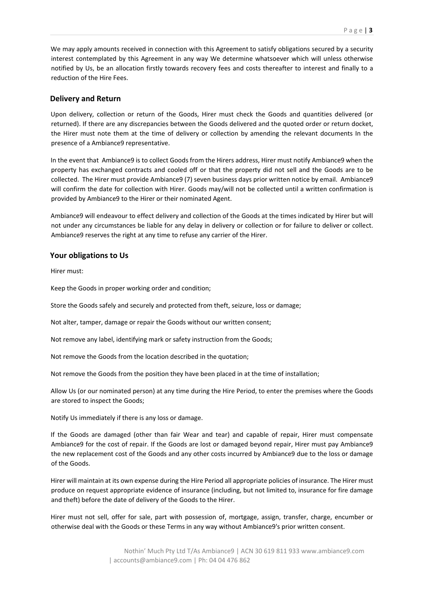We may apply amounts received in connection with this Agreement to satisfy obligations secured by a security interest contemplated by this Agreement in any way We determine whatsoever which will unless otherwise notified by Us, be an allocation firstly towards recovery fees and costs thereafter to interest and finally to a reduction of the Hire Fees.

## **Delivery and Return**

Upon delivery, collection or return of the Goods, Hirer must check the Goods and quantities delivered (or returned). If there are any discrepancies between the Goods delivered and the quoted order or return docket, the Hirer must note them at the time of delivery or collection by amending the relevant documents In the presence of a Ambiance9 representative.

In the event that Ambiance9 is to collect Goods from the Hirers address, Hirer must notify Ambiance9 when the property has exchanged contracts and cooled off or that the property did not sell and the Goods are to be collected. The Hirer must provide Ambiance9 (7) seven business days prior written notice by email. Ambiance9 will confirm the date for collection with Hirer. Goods may/will not be collected until a written confirmation is provided by Ambiance9 to the Hirer or their nominated Agent.

Ambiance9 will endeavour to effect delivery and collection of the Goods at the times indicated by Hirer but will not under any circumstances be liable for any delay in delivery or collection or for failure to deliver or collect. Ambiance9 reserves the right at any time to refuse any carrier of the Hirer.

## **Your obligations to Us**

Hirer must:

Keep the Goods in proper working order and condition;

Store the Goods safely and securely and protected from theft, seizure, loss or damage;

Not alter, tamper, damage or repair the Goods without our written consent;

Not remove any label, identifying mark or safety instruction from the Goods;

Not remove the Goods from the location described in the quotation;

Not remove the Goods from the position they have been placed in at the time of installation;

Allow Us (or our nominated person) at any time during the Hire Period, to enter the premises where the Goods are stored to inspect the Goods;

Notify Us immediately if there is any loss or damage.

If the Goods are damaged (other than fair Wear and tear) and capable of repair, Hirer must compensate Ambiance9 for the cost of repair. If the Goods are lost or damaged beyond repair, Hirer must pay Ambiance9 the new replacement cost of the Goods and any other costs incurred by Ambiance9 due to the loss or damage of the Goods.

Hirer will maintain at its own expense during the Hire Period all appropriate policies of insurance. The Hirer must produce on request appropriate evidence of insurance (including, but not limited to, insurance for fire damage and theft) before the date of delivery of the Goods to the Hirer.

Hirer must not sell, offer for sale, part with possession of, mortgage, assign, transfer, charge, encumber or otherwise deal with the Goods or these Terms in any way without Ambiance9's prior written consent.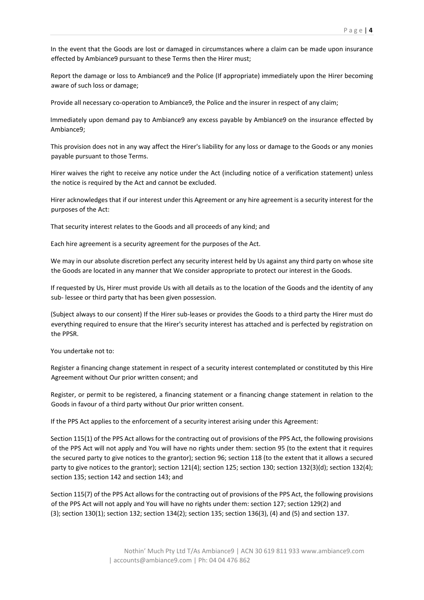In the event that the Goods are lost or damaged in circumstances where a claim can be made upon insurance effected by Ambiance9 pursuant to these Terms then the Hirer must;

Report the damage or loss to Ambiance9 and the Police (If appropriate) immediately upon the Hirer becoming aware of such loss or damage;

Provide all necessary co-operation to Ambiance9, the Police and the insurer in respect of any claim;

Immediately upon demand pay to Ambiance9 any excess payable by Ambiance9 on the insurance effected by Ambiance9;

This provision does not in any way affect the Hirer's liability for any loss or damage to the Goods or any monies payable pursuant to those Terms.

Hirer waives the right to receive any notice under the Act (including notice of a verification statement) unless the notice is required by the Act and cannot be excluded.

Hirer acknowledges that if our interest under this Agreement or any hire agreement is a security interest for the purposes of the Act:

That security interest relates to the Goods and all proceeds of any kind; and

Each hire agreement is a security agreement for the purposes of the Act.

We may in our absolute discretion perfect any security interest held by Us against any third party on whose site the Goods are located in any manner that We consider appropriate to protect our interest in the Goods.

If requested by Us, Hirer must provide Us with all details as to the location of the Goods and the identity of any sub- lessee or third party that has been given possession.

(Subject always to our consent) If the Hirer sub-leases or provides the Goods to a third party the Hirer must do everything required to ensure that the Hirer's security interest has attached and is perfected by registration on the PPSR.

You undertake not to:

Register a financing change statement in respect of a security interest contemplated or constituted by this Hire Agreement without Our prior written consent; and

Register, or permit to be registered, a financing statement or a financing change statement in relation to the Goods in favour of a third party without Our prior written consent.

If the PPS Act applies to the enforcement of a security interest arising under this Agreement:

Section 115(1) of the PPS Act allows for the contracting out of provisions of the PPS Act, the following provisions of the PPS Act will not apply and You will have no rights under them: section 95 (to the extent that it requires the secured party to give notices to the grantor); section 96; section 118 (to the extent that it allows a secured party to give notices to the grantor); section 121(4); section 125; section 130; section 132(3)(d); section 132(4); section 135; section 142 and section 143; and

Section 115(7) of the PPS Act allows for the contracting out of provisions of the PPS Act, the following provisions of the PPS Act will not apply and You will have no rights under them: section 127; section 129(2) and (3); section 130(1); section 132; section 134(2); section 135; section 136(3), (4) and (5) and section 137.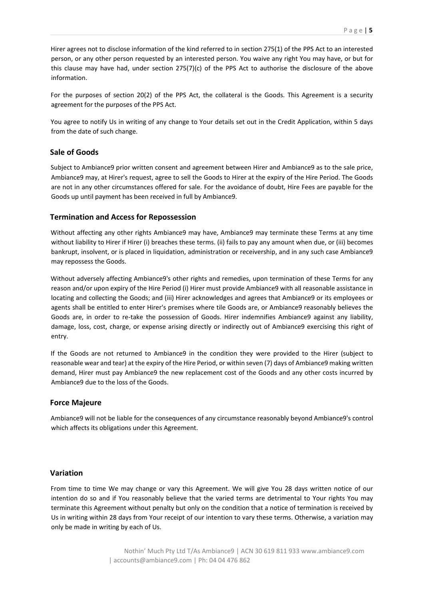Hirer agrees not to disclose information of the kind referred to in section 275(1) of the PPS Act to an interested person, or any other person requested by an interested person. You waive any right You may have, or but for this clause may have had, under section 275(7)(c) of the PPS Act to authorise the disclosure of the above information.

For the purposes of section 20(2) of the PPS Act, the collateral is the Goods. This Agreement is a security agreement for the purposes of the PPS Act.

You agree to notify Us in writing of any change to Your details set out in the Credit Application, within 5 days from the date of such change.

#### **Sale of Goods**

Subject to Ambiance9 prior written consent and agreement between Hirer and Ambiance9 as to the sale price, Ambiance9 may, at Hirer's request, agree to sell the Goods to Hirer at the expiry of the Hire Period. The Goods are not in any other circumstances offered for sale. For the avoidance of doubt, Hire Fees are payable for the Goods up until payment has been received in full by Ambiance9.

#### **Termination and Access for Repossession**

Without affecting any other rights Ambiance9 may have, Ambiance9 may terminate these Terms at any time without liability to Hirer if Hirer (i) breaches these terms. (ii) fails to pay any amount when due, or (iii) becomes bankrupt, insolvent, or is placed in liquidation, administration or receivership, and in any such case Ambiance9 may repossess the Goods.

Without adversely affecting Ambiance9's other rights and remedies, upon termination of these Terms for any reason and/or upon expiry of the Hire Period (i) Hirer must provide Ambiance9 with all reasonable assistance in locating and collecting the Goods; and (iii) Hirer acknowledges and agrees that Ambiance9 or its employees or agents shall be entitled to enter Hirer's premises where tile Goods are, or Ambiance9 reasonably believes the Goods are, in order to re-take the possession of Goods. Hirer indemnifies Ambiance9 against any liability, damage, loss, cost, charge, or expense arising directly or indirectly out of Ambiance9 exercising this right of entry.

If the Goods are not returned to Ambiance9 in the condition they were provided to the Hirer (subject to reasonable wear and tear) at the expiry of the Hire Period, or within seven (7) days of Ambiance9 making written demand, Hirer must pay Ambiance9 the new replacement cost of the Goods and any other costs incurred by Ambiance9 due to the loss of the Goods.

#### **Force Majeure**

Ambiance9 will not be liable for the consequences of any circumstance reasonably beyond Ambiance9's control which affects its obligations under this Agreement.

#### **Variation**

From time to time We may change or vary this Agreement. We will give You 28 days written notice of our intention do so and if You reasonably believe that the varied terms are detrimental to Your rights You may terminate this Agreement without penalty but only on the condition that a notice of termination is received by Us in writing within 28 days from Your receipt of our intention to vary these terms. Otherwise, a variation may only be made in writing by each of Us.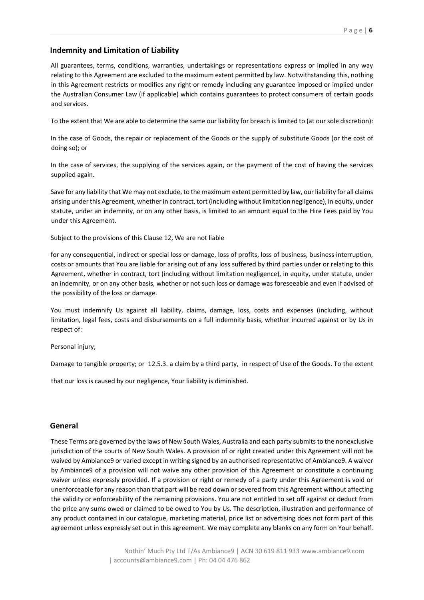## **Indemnity and Limitation of Liability**

All guarantees, terms, conditions, warranties, undertakings or representations express or implied in any way relating to this Agreement are excluded to the maximum extent permitted by law. Notwithstanding this, nothing in this Agreement restricts or modifies any right or remedy including any guarantee imposed or implied under the Australian Consumer Law (if applicable) which contains guarantees to protect consumers of certain goods and services.

To the extent that We are able to determine the same our liability for breach is limited to (at our sole discretion):

In the case of Goods, the repair or replacement of the Goods or the supply of substitute Goods (or the cost of doing so); or

In the case of services, the supplying of the services again, or the payment of the cost of having the services supplied again.

Save for any liability that We may not exclude, to the maximum extent permitted by law, our liability for all claims arising under this Agreement, whether in contract, tort (including without limitation negligence), in equity, under statute, under an indemnity, or on any other basis, is limited to an amount equal to the Hire Fees paid by You under this Agreement.

Subject to the provisions of this Clause 12, We are not liable

for any consequential, indirect or special loss or damage, loss of profits, loss of business, business interruption, costs or amounts that You are liable for arising out of any loss suffered by third parties under or relating to this Agreement, whether in contract, tort (including without limitation negligence), in equity, under statute, under an indemnity, or on any other basis, whether or not such loss or damage was foreseeable and even if advised of the possibility of the loss or damage.

You must indemnify Us against all liability, claims, damage, loss, costs and expenses (including, without limitation, legal fees, costs and disbursements on a full indemnity basis, whether incurred against or by Us in respect of:

Personal injury;

Damage to tangible property; or 12.5.3. a claim by a third party, in respect of Use of the Goods. To the extent

that our loss is caused by our negligence, Your liability is diminished.

### **General**

These Terms are governed by the laws of New South Wales, Australia and each party submits to the nonexclusive jurisdiction of the courts of New South Wales. A provision of or right created under this Agreement will not be waived by Ambiance9 or varied except in writing signed by an authorised representative of Ambiance9. A waiver by Ambiance9 of a provision will not waive any other provision of this Agreement or constitute a continuing waiver unless expressly provided. If a provision or right or remedy of a party under this Agreement is void or unenforceable for any reason than that part will be read down or severed from this Agreement without affecting the validity or enforceability of the remaining provisions. You are not entitled to set off against or deduct from the price any sums owed or claimed to be owed to You by Us. The description, illustration and performance of any product contained in our catalogue, marketing material, price list or advertising does not form part of this agreement unless expressly set out in this agreement. We may complete any blanks on any form on Your behalf.